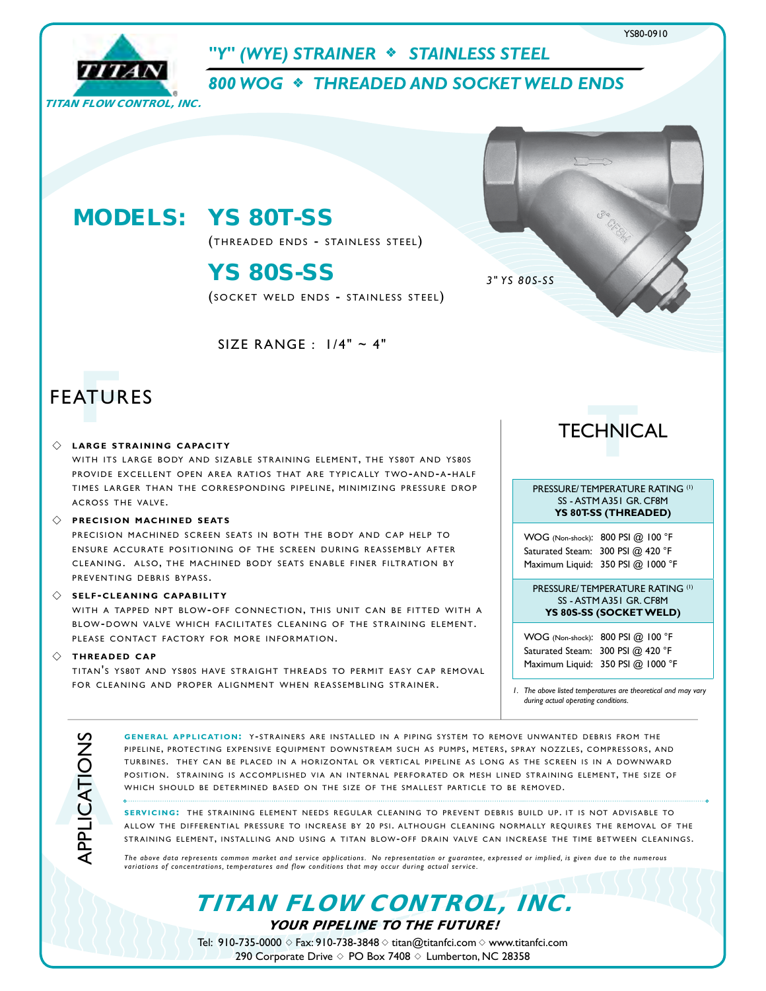



*"Y" (WYE) STRAINER* f *STAINLESS STEEL*

*800 WOG* <sup>f</sup>*THREADED AND SOCKET WELD ENDS*

# MODELS: YS 80T-SS

(THREADED ENDS - STAINLESS STEEL)

### YS 80S-SS

( SOCKET WELD ENDS - STAINLESS STEEL )

SIZE RANGE : 1/4" ~ 4"

## **FEATURES**

### $\diamondsuit$  LARGE STRAINING CAPACITY

WITH ITS LARGE BODY AND SIZABLE STRAINING ELEMENT, THE YS80T AND YS80S PROVIDE EXCELLENT OPEN AREA RATIOS THAT ARE TYPICALLY TWO-AND-A-HALF TIMES LARGER THAN THE CORRESPONDING PIPELINE, MINIMIZING PRESSURE DROP ACROSS THE VALVE.

#### $\Diamond$  **precision machined seats**

PRECISION MACHINED SCREEN SEATS IN BOTH THE BODY AND CAP HELP TO ENSURE ACCURATE POSITIONING OF THE SCREEN DURING REASSEMBLY AFTER CLEANING. ALSO, THE MACHINED BODY SEATS ENABLE FINER FILTRATION BY PREVENTING DEBRIS BYPASS.

#### $\Diamond$  **SELF-CLEANING CAPABILITY**

WITH A TAPPED NPT BLOW-OFF CONNECTION, THIS UNIT CAN BE FITTED WITH A BLOW-DOWN VALVE WHICH FACILITATES CLEANING OF THE STRAINING ELEMENT. PLEASE CONTACT FACTORY FOR MORE INFORMATION.

#### $\diamondsuit$  **THREADED** CAP

**A**APPLICATIONS

TITAN'S YS80T AND YS80S HAVE STRAIGHT THREADS TO PERMIT EASY CAP REMOVAL FOR CLEANING AND PROPER ALIGNMENT WHEN REASSEMBLING STRAINER.

TECHNICAL **T**

*3" YS 80S-SS*

PRESSURE/ TEMPERATURE RATING (1) SS - ASTM A351 GR. CF8M **YS 80T-SS (THREADED)**

WOG (Non-shock): 800 PSI @ 100 °F Saturated Steam: 300 PSI @ 420 °F Maximum Liquid: 350 PSI @ 1000 °F

PRESSURE/ TEMPERATURE RATING (1) SS - ASTM A351 GR. CF8M **YS 80S-SS (SOCKET WELD)**

WOG (Non-shock): 800 PSI @ 100 °F Saturated Steam: 300 PSI @ 420 °F Maximum Liquid: 350 PSI @ 1000 °F

*1. The above listed temperatures are theoretical and may vary during actual operating conditions.*

**GENERAL APPLICATION: Y-STRAINERS ARE INSTALLED IN A PIPING SYSTEM TO REMOVE UNWANTED DEBRIS FROM THE** PIPELINE, PROTECTING EXPENSIVE EQUIPMENT DOWNSTREAM SUCH AS PUMPS, METERS, SPRAY NOZZLES, COMPRESSORS, AND TURBINES. THEY CAN BE PLACED IN A HORIZONTAL OR VERTICAL PIPELINE AS LONG AS THE SCREEN IS IN A DOWNWARD POSITION. STRAINING IS ACCOMPLISHED VIA AN INTERNAL PERFORATED OR MESH LINED STRAINING ELEMENT, THE SIZE OF WHICH SHOULD BE DETERMINED BASED ON THE SIZE OF THE SMALLEST PARTICLE TO BE REMOVED.

SERVICING: THE STRAINING ELEMENT NEEDS REGULAR CLEANING TO PREVENT DEBRIS BUILD UP. IT IS NOT ADVISABLE TO ALLOW THE DIFFERENTIAL PRESSURE TO INCREASE BY 20 PSI. ALTHOUGH CLEANING NORMALLY REOUIRES THE REMOVAL OF THE STRAINING ELEMENT, INSTALLING AND USING A TITAN BLOW-OFF DRAIN VALVE CAN INCREASE THE TIME BETWEEN CLEANINGS.

*The above data represents common market and service applications. No representation or guarantee, expressed or implied, is given due to the numerous variations of concentrations, temperatures and flow conditions that may occur during actual service.*

TITAN FLOW CONTROL, INC.

YOUR PIPELINE TO THE FUTURE!

Tel: 910-735-0000  $\diamond$  Fax: 910-738-3848  $\diamond$  titan@titanfci.com  $\diamond$  www.titanfci.com 290 Corporate Drive  $\diamond$  PO Box 7408  $\diamond$  Lumberton, NC 28358